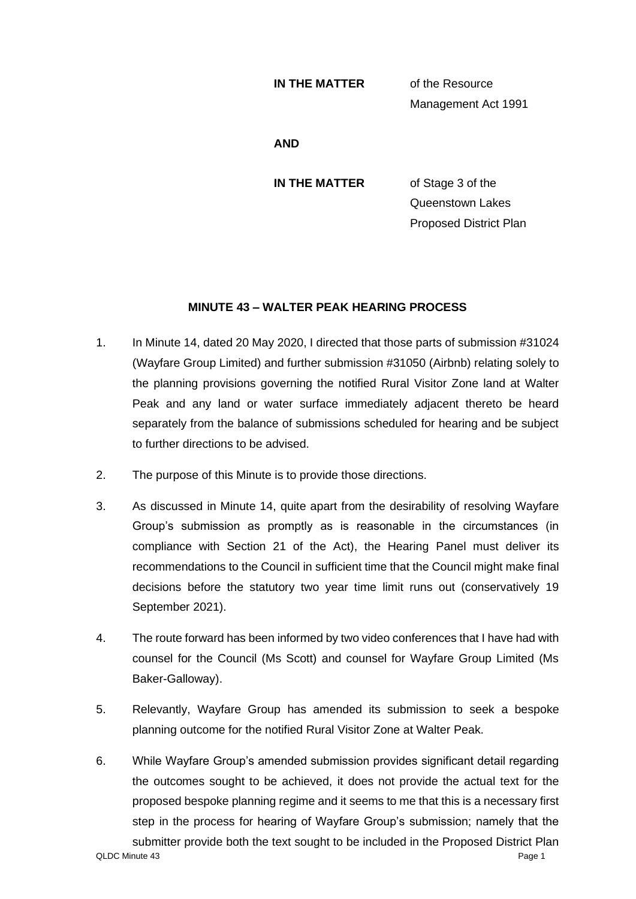## **IN THE MATTER** of the Resource

Management Act 1991

**AND**

**IN THE MATTER** of Stage 3 of the Queenstown Lakes Proposed District Plan

## **MINUTE 43 – WALTER PEAK HEARING PROCESS**

- 1. In Minute 14, dated 20 May 2020, I directed that those parts of submission #31024 (Wayfare Group Limited) and further submission #31050 (Airbnb) relating solely to the planning provisions governing the notified Rural Visitor Zone land at Walter Peak and any land or water surface immediately adjacent thereto be heard separately from the balance of submissions scheduled for hearing and be subject to further directions to be advised.
- 2. The purpose of this Minute is to provide those directions.
- 3. As discussed in Minute 14, quite apart from the desirability of resolving Wayfare Group's submission as promptly as is reasonable in the circumstances (in compliance with Section 21 of the Act), the Hearing Panel must deliver its recommendations to the Council in sufficient time that the Council might make final decisions before the statutory two year time limit runs out (conservatively 19 September 2021).
- 4. The route forward has been informed by two video conferences that I have had with counsel for the Council (Ms Scott) and counsel for Wayfare Group Limited (Ms Baker-Galloway).
- 5. Relevantly, Wayfare Group has amended its submission to seek a bespoke planning outcome for the notified Rural Visitor Zone at Walter Peak.
- QLDC Minute 43 Page 1 6. While Wayfare Group's amended submission provides significant detail regarding the outcomes sought to be achieved, it does not provide the actual text for the proposed bespoke planning regime and it seems to me that this is a necessary first step in the process for hearing of Wayfare Group's submission; namely that the submitter provide both the text sought to be included in the Proposed District Plan